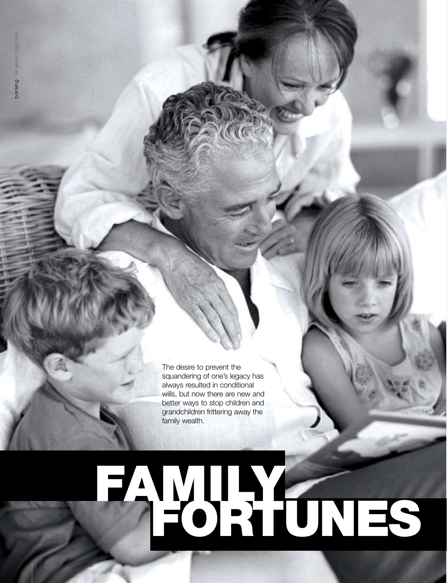8

The desire to prevent the squandering of one's legacy has always resulted in conditional wills, but now there are new and better ways to stop children and grandchildren frittering away the family wealth.

# fortunes FAMUAY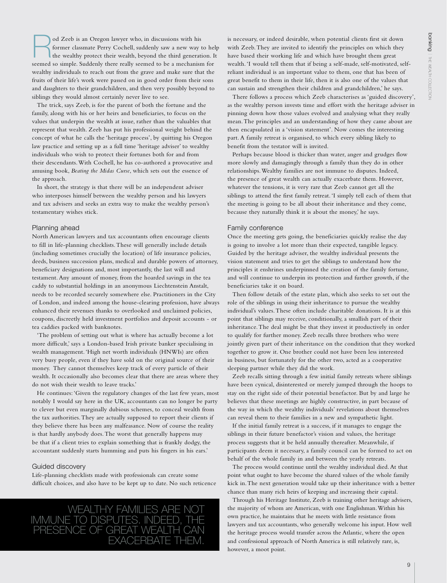od Zeeb is an Oregon lawyer who, in discussions with his<br>former classmate Perry Cochell, suddenly saw a new way t<br>the wealthy protect their wealth, beyond the hird generation<br>seemed to be a mechanism former classmate Perry Cochell, suddenly saw a new way to help the wealthy protect their wealth, beyond the third generation. It seemed so simple. Suddenly there really seemed to be a mechanism for wealthy individuals to reach out from the grave and make sure that the fruits of their life's work were passed on in good order from their sons and daughters to their grandchildren, and then very possibly beyond to siblings they would almost certainly never live to see.

The trick, says Zeeb, is for the parent of both the fortune and the family, along with his or her heirs and beneficiaries, to focus on the values that underpin the wealth at issue, rather than the valuables that represent that wealth. Zeeb has put his professional weight behind the concept of what he calls the 'heritage process', by quitting his Oregon law practice and setting up as a full time 'heritage adviser' to wealthy individuals who wish to protect their fortunes both for and from their descendants. With Cochell, he has co-authored a provocative and amusing book, *Beating the Midas Curse*, which sets out the essence of the approach.

In short, the strategy is that there will be an independent adviser who interposes himself between the wealthy person and his lawyers and tax advisers and seeks an extra way to make the wealthy person's testamentary wishes stick.

### Planning ahead

North American lawyers and tax accountants often encourage clients to fill in life-planning checklists. These will generally include details (including sometimes crucially the location) of life insurance policies, deeds, business succession plans, medical and durable powers of attorney, beneficiary designations and, most importantly, the last will and testament. Any amount of money, from the hoarded savings in the tea caddy to substantial holdings in an anonymous Liechtenstein Anstalt, needs to be recorded securely somewhere else. Practitioners in the City of London, and indeed among the house-clearing profession, have always enhanced their revenues thanks to overlooked and unclaimed policies, coupons, discreetly held investment portfolios and deposit accounts - or tea caddies packed with banknotes.

'The problem of setting out what is where has actually become a lot more difficult,' says a London-based Irish private banker specialising in wealth management. 'High net worth individuals (HNWIs) are often very busy people, even if they have sold on the original source of their money. They cannot themselves keep track of every particle of their wealth. It occasionally also becomes clear that there are areas where they do not wish their wealth to leave tracks.'

He continues: 'Given the regulatory changes of the last few years, most notably I would say here in the UK, accountants can no longer be party to clever but even marginally dubious schemes, to conceal wealth from the tax authorities. They are actually supposed to report their clients if they believe there has been any malfeasance. Now of course the reality is that hardly anybody does. The worst that generally happens may be that if a client tries to explain something that is frankly dodgy, the accountant suddenly starts humming and puts his fingers in his ears.'

## Guided discovery

Life-planning checklists made with professionals can create some difficult choices, and also have to be kept up to date. No such reticence



is necessary, or indeed desirable, when potential clients first sit down with Zeeb. They are invited to identify the principles on which they have based their working life and which have brought them great wealth. 'I would tell them that if being a self-made, self-motivated, selfreliant individual is an important value to them, one that has been of great benefit to them in their life, then it is also one of the values that can sustain and strengthen their children and grandchildren,' he says.

There follows a process which Zeeb characterises as 'guided discovery', as the wealthy person invests time and effort with the heritage adviser in pinning down how those values evolved and analysing what they really mean. The principles and an understanding of how they came about are then encapsulated in a 'vision statement'. Now comes the interesting part. A family retreat is organised, to which every sibling likely to benefit from the testator will is invited.

Perhaps because blood is thicker than water, anger and grudges flow more slowly and damagingly through a family than they do in other relationships. Wealthy families are not immune to disputes. Indeed, the presence of great wealth can actually exacerbate them. However, whatever the tensions, it is very rare that Zeeb cannot get all the siblings to attend the first family retreat. 'I simply tell each of them that the meeting is going to be all about their inheritance and they come, because they naturally think it is about the money,' he says.

#### Family conference

Once the meeting gets going, the beneficiaries quickly realise the day is going to involve a lot more than their expected, tangible legacy. Guided by the heritage adviser, the wealthy individual presents the vision statement and tries to get the siblings to understand how the principles it enshrines underpinned the creation of the family fortune, and will continue to underpin its protection and further growth, if the beneficiaries take it on board.

Then follow details of the estate plan, which also seeks to set out the role of the siblings in using their inheritance to pursue the wealthy individual's values. These often include charitable donations. It is at this point that siblings may receive, conditionally, a smallish part of their inheritance. The deal might be that they invest it productively in order to qualify for further money. Zeeb recalls three brothers who were jointly given part of their inheritance on the condition that they worked together to grow it. One brother could not have been less interested in business, but fortunately for the other two, acted as a cooperative sleeping partner while they did the work.

Zeeb recalls sitting through a few initial family retreats where siblings have been cynical, disinterested or merely jumped through the hoops to stay on the right side of their potential benefactor. But by and large he believes that these meetings are highly constructive, in part because of the way in which the wealthy individuals' revelations about themselves can reveal them to their families in a new and sympathetic light.

If the initial family retreat is a success, if it manages to engage the siblings in their future benefactor's vision and values, the heritage process suggests that it be held annually thereafter. Meanwhile, if participants deem it necessary, a family council can be formed to act on behalf of the whole family in and between the yearly retreats.

The process would continue until the wealthy individual died. At that point what ought to have become the shared values of the whole family kick in. The next generation would take up their inheritance with a better chance than many rich heirs of keeping and increasing their capital.

Through his Heritage Institute, Zeeb is training other heritage advisers, the majority of whom are American, with one Englishman. Within his own practice, he maintains that he meets with little resistance from lawyers and tax accountants, who generally welcome his input. How well the heritage process would transfer across the Atlantic, where the open and confessional approach of North America is still relatively rare, is, however, a moot point.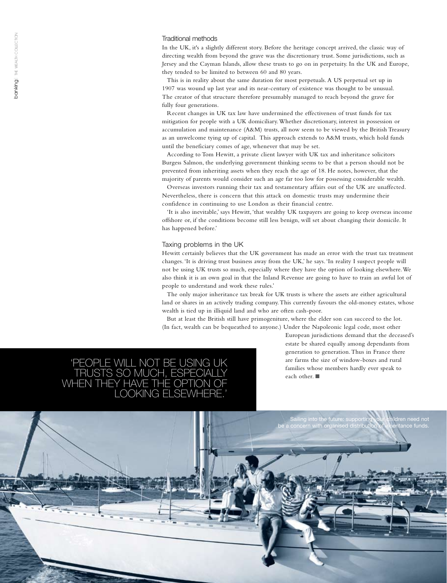#### Traditional methods

In the UK, it's a slightly different story. Before the heritage concept arrived, the classic way of directing wealth from beyond the grave was the discretionary trust. Some jurisdictions, such as Jersey and the Cayman Islands, allow these trusts to go on in perpetuity. In the UK and Europe, they tended to be limited to between 60 and 80 years.

This is in reality about the same duration for most perpetuals. A US perpetual set up in 1907 was wound up last year and its near-century of existence was thought to be unusual. The creator of that structure therefore presumably managed to reach beyond the grave for fully four generations.

Recent changes in UK tax law have undermined the effectiveness of trust funds for tax mitigation for people with a UK domiciliary. Whether discretionary, interest in possession or accumulation and maintenance (A&M) trusts, all now seem to be viewed by the British Treasury as an unwelcome tying up of capital. This approach extends to A&M trusts, which hold funds until the beneficiary comes of age, whenever that may be set.

According to Tom Hewitt, a private client lawyer with UK tax and inheritance solicitors Burgess Salmon, the underlying government thinking seems to be that a person should not be prevented from inheriting assets when they reach the age of 18. He notes, however, that the majority of parents would consider such an age far too low for possessing considerable wealth.

Overseas investors running their tax and testamentary affairs out of the UK are unaffected. Nevertheless, there is concern that this attack on domestic trusts may undermine their confidence in continuing to use London as their financial centre.

'It is also inevitable,' says Hewitt, 'that wealthy UK taxpayers are going to keep overseas income offshore or, if the conditions become still less benign, will set about changing their domicile. It has happened before.'

#### Taxing problems in the UK

Hewitt certainly believes that the UK government has made an error with the trust tax treatment changes. 'It is driving trust business away from the UK,' he says. 'In reality I suspect people will not be using UK trusts so much, especially where they have the option of looking elsewhere. We also think it is an own goal in that the Inland Revenue are going to have to train an awful lot of people to understand and work these rules.'

The only major inheritance tax break for UK trusts is where the assets are either agricultural land or shares in an actively trading company. This currently favours the old-money estates, whose wealth is tied up in illiquid land and who are often cash-poor.

But at least the British still have primogeniture, where the elder son can succeed to the lot. (In fact, wealth can be bequeathed to anyone.) Under the Napoleonic legal code, most other



European jurisdictions demand that the deceased's estate be shared equally among dependants from generation to generation. Thus in France there are farms the size of window-boxes and rural families whose members hardly ever speak to each other.  $\blacksquare$